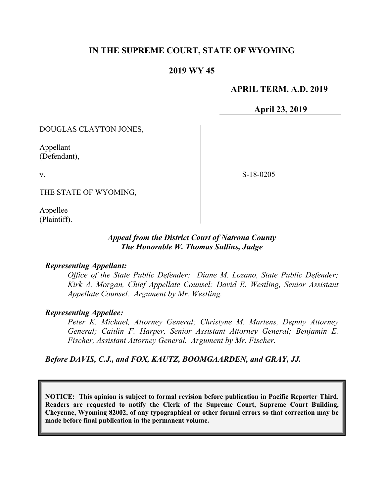# **IN THE SUPREME COURT, STATE OF WYOMING**

# **2019 WY 45**

## **APRIL TERM, A.D. 2019**

**April 23, 2019**

DOUGLAS CLAYTON JONES,

Appellant (Defendant),

v.

S-18-0205

THE STATE OF WYOMING,

Appellee (Plaintiff).

### *Appeal from the District Court of Natrona County The Honorable W. Thomas Sullins, Judge*

#### *Representing Appellant:*

*Office of the State Public Defender: Diane M. Lozano, State Public Defender; Kirk A. Morgan, Chief Appellate Counsel; David E. Westling, Senior Assistant Appellate Counsel. Argument by Mr. Westling.*

#### *Representing Appellee:*

*Peter K. Michael, Attorney General; Christyne M. Martens, Deputy Attorney General; Caitlin F. Harper, Senior Assistant Attorney General; Benjamin E. Fischer, Assistant Attorney General. Argument by Mr. Fischer.*

#### *Before DAVIS, C.J., and FOX, KAUTZ, BOOMGAARDEN, and GRAY, JJ.*

**NOTICE: This opinion is subject to formal revision before publication in Pacific Reporter Third. Readers are requested to notify the Clerk of the Supreme Court, Supreme Court Building, Cheyenne, Wyoming 82002, of any typographical or other formal errors so that correction may be made before final publication in the permanent volume.**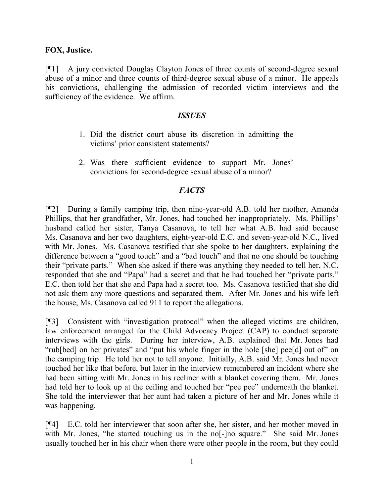## **FOX, Justice.**

[¶1] A jury convicted Douglas Clayton Jones of three counts of second-degree sexual abuse of a minor and three counts of third-degree sexual abuse of a minor. He appeals his convictions, challenging the admission of recorded victim interviews and the sufficiency of the evidence. We affirm.

#### *ISSUES*

- 1. Did the district court abuse its discretion in admitting the victims' prior consistent statements?
- 2. Was there sufficient evidence to support Mr. Jones' convictions for second-degree sexual abuse of a minor?

## *FACTS*

[¶2] During a family camping trip, then nine-year-old A.B. told her mother, Amanda Phillips, that her grandfather, Mr. Jones, had touched her inappropriately. Ms. Phillips' husband called her sister, Tanya Casanova, to tell her what A.B. had said because Ms. Casanova and her two daughters, eight-year-old E.C. and seven-year-old N.C., lived with Mr. Jones. Ms. Casanova testified that she spoke to her daughters, explaining the difference between a "good touch" and a "bad touch" and that no one should be touching their "private parts." When she asked if there was anything they needed to tell her, N.C. responded that she and "Papa" had a secret and that he had touched her "private parts." E.C. then told her that she and Papa had a secret too. Ms. Casanova testified that she did not ask them any more questions and separated them. After Mr. Jones and his wife left the house, Ms. Casanova called 911 to report the allegations.

[¶3] Consistent with "investigation protocol" when the alleged victims are children, law enforcement arranged for the Child Advocacy Project (CAP) to conduct separate interviews with the girls. During her interview, A.B. explained that Mr. Jones had "rub[bed] on her privates" and "put his whole finger in the hole [she] pee[d] out of" on the camping trip. He told her not to tell anyone. Initially, A.B. said Mr. Jones had never touched her like that before, but later in the interview remembered an incident where she had been sitting with Mr. Jones in his recliner with a blanket covering them. Mr. Jones had told her to look up at the ceiling and touched her "pee pee" underneath the blanket. She told the interviewer that her aunt had taken a picture of her and Mr. Jones while it was happening.

[¶4] E.C. told her interviewer that soon after she, her sister, and her mother moved in with Mr. Jones, "he started touching us in the no<sup>[-]</sup>no square." She said Mr. Jones usually touched her in his chair when there were other people in the room, but they could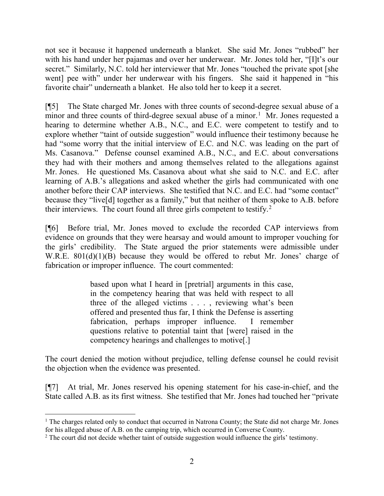not see it because it happened underneath a blanket. She said Mr. Jones "rubbed" her with his hand under her pajamas and over her underwear. Mr. Jones told her, "[I]t's our secret." Similarly, N.C. told her interviewer that Mr. Jones "touched the private spot [she went] pee with" under her underwear with his fingers. She said it happened in "his favorite chair" underneath a blanket. He also told her to keep it a secret.

[¶5] The State charged Mr. Jones with three counts of second-degree sexual abuse of a minor and three counts of third-degree sexual abuse of a minor.<sup>[1](#page-2-0)</sup> Mr. Jones requested a hearing to determine whether A.B., N.C., and E.C. were competent to testify and to explore whether "taint of outside suggestion" would influence their testimony because he had "some worry that the initial interview of E.C. and N.C. was leading on the part of Ms. Casanova." Defense counsel examined A.B., N.C., and E.C. about conversations they had with their mothers and among themselves related to the allegations against Mr. Jones. He questioned Ms. Casanova about what she said to N.C. and E.C. after learning of A.B.'s allegations and asked whether the girls had communicated with one another before their CAP interviews. She testified that N.C. and E.C. had "some contact" because they "live[d] together as a family," but that neither of them spoke to A.B. before their interviews. The court found all three girls competent to testify.<sup>[2](#page-2-1)</sup>

[¶6] Before trial, Mr. Jones moved to exclude the recorded CAP interviews from evidence on grounds that they were hearsay and would amount to improper vouching for the girls' credibility. The State argued the prior statements were admissible under W.R.E. 801(d)(1)(B) because they would be offered to rebut Mr. Jones' charge of fabrication or improper influence. The court commented:

> based upon what I heard in [pretrial] arguments in this case, in the competency hearing that was held with respect to all three of the alleged victims . . . , reviewing what's been offered and presented thus far, I think the Defense is asserting fabrication, perhaps improper influence. I remember questions relative to potential taint that [were] raised in the competency hearings and challenges to motive[.]

The court denied the motion without prejudice, telling defense counsel he could revisit the objection when the evidence was presented.

[¶7] At trial, Mr. Jones reserved his opening statement for his case-in-chief, and the State called A.B. as its first witness. She testified that Mr. Jones had touched her "private

<span id="page-2-0"></span><sup>&</sup>lt;sup>1</sup> The charges related only to conduct that occurred in Natrona County; the State did not charge Mr. Jones for his alleged abuse of A.B. on the camping trip, which occurred in Converse County.

<span id="page-2-1"></span><sup>&</sup>lt;sup>2</sup> The court did not decide whether taint of outside suggestion would influence the girls' testimony.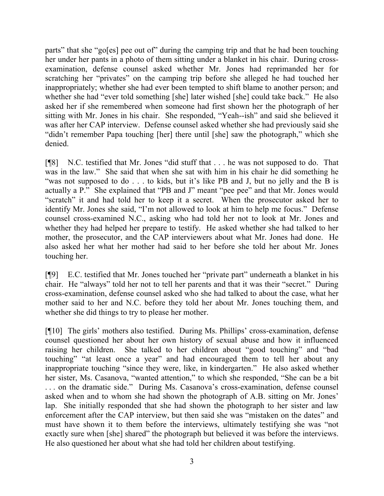parts" that she "go[es] pee out of" during the camping trip and that he had been touching her under her pants in a photo of them sitting under a blanket in his chair. During crossexamination, defense counsel asked whether Mr. Jones had reprimanded her for scratching her "privates" on the camping trip before she alleged he had touched her inappropriately; whether she had ever been tempted to shift blame to another person; and whether she had "ever told something [she] later wished [she] could take back." He also asked her if she remembered when someone had first shown her the photograph of her sitting with Mr. Jones in his chair. She responded, "Yeah--ish" and said she believed it was after her CAP interview. Defense counsel asked whether she had previously said she "didn't remember Papa touching [her] there until [she] saw the photograph," which she denied.

[¶8] N.C. testified that Mr. Jones "did stuff that . . . he was not supposed to do. That was in the law." She said that when she sat with him in his chair he did something he "was not supposed to do . . . to kids, but it's like PB and J, but no jelly and the B is actually a P." She explained that "PB and J" meant "pee pee" and that Mr. Jones would "scratch" it and had told her to keep it a secret. When the prosecutor asked her to identify Mr. Jones she said, "I'm not allowed to look at him to help me focus." Defense counsel cross-examined N.C., asking who had told her not to look at Mr. Jones and whether they had helped her prepare to testify. He asked whether she had talked to her mother, the prosecutor, and the CAP interviewers about what Mr. Jones had done. He also asked her what her mother had said to her before she told her about Mr. Jones touching her.

[¶9] E.C. testified that Mr. Jones touched her "private part" underneath a blanket in his chair. He "always" told her not to tell her parents and that it was their "secret." During cross-examination, defense counsel asked who she had talked to about the case, what her mother said to her and N.C. before they told her about Mr. Jones touching them, and whether she did things to try to please her mother.

[¶10] The girls' mothers also testified. During Ms. Phillips' cross-examination, defense counsel questioned her about her own history of sexual abuse and how it influenced raising her children. She talked to her children about "good touching" and "bad touching" "at least once a year" and had encouraged them to tell her about any inappropriate touching "since they were, like, in kindergarten." He also asked whether her sister, Ms. Casanova, "wanted attention," to which she responded, "She can be a bit . . . on the dramatic side." During Ms. Casanova's cross-examination, defense counsel asked when and to whom she had shown the photograph of A.B. sitting on Mr. Jones' lap. She initially responded that she had shown the photograph to her sister and law enforcement after the CAP interview, but then said she was "mistaken on the dates" and must have shown it to them before the interviews, ultimately testifying she was "not exactly sure when [she] shared" the photograph but believed it was before the interviews. He also questioned her about what she had told her children about testifying.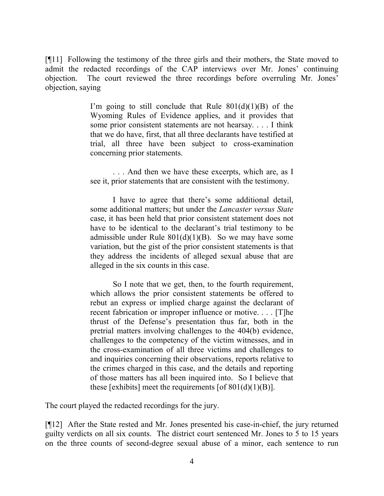[¶11] Following the testimony of the three girls and their mothers, the State moved to admit the redacted recordings of the CAP interviews over Mr. Jones' continuing objection. The court reviewed the three recordings before overruling Mr. Jones' objection, saying

> I'm going to still conclude that Rule  $801(d)(1)(B)$  of the Wyoming Rules of Evidence applies, and it provides that some prior consistent statements are not hearsay. . . . I think that we do have, first, that all three declarants have testified at trial, all three have been subject to cross-examination concerning prior statements.

> . . . And then we have these excerpts, which are, as I see it, prior statements that are consistent with the testimony.

> I have to agree that there's some additional detail, some additional matters; but under the *Lancaster versus State* case, it has been held that prior consistent statement does not have to be identical to the declarant's trial testimony to be admissible under Rule  $801(d)(1)(B)$ . So we may have some variation, but the gist of the prior consistent statements is that they address the incidents of alleged sexual abuse that are alleged in the six counts in this case.

> So I note that we get, then, to the fourth requirement, which allows the prior consistent statements be offered to rebut an express or implied charge against the declarant of recent fabrication or improper influence or motive. . . . [T]he thrust of the Defense's presentation thus far, both in the pretrial matters involving challenges to the 404(b) evidence, challenges to the competency of the victim witnesses, and in the cross-examination of all three victims and challenges to and inquiries concerning their observations, reports relative to the crimes charged in this case, and the details and reporting of those matters has all been inquired into. So I believe that these [exhibits] meet the requirements [of  $801(d)(1)(B)$ ].

The court played the redacted recordings for the jury.

[¶12] After the State rested and Mr. Jones presented his case-in-chief, the jury returned guilty verdicts on all six counts. The district court sentenced Mr. Jones to 5 to 15 years on the three counts of second-degree sexual abuse of a minor, each sentence to run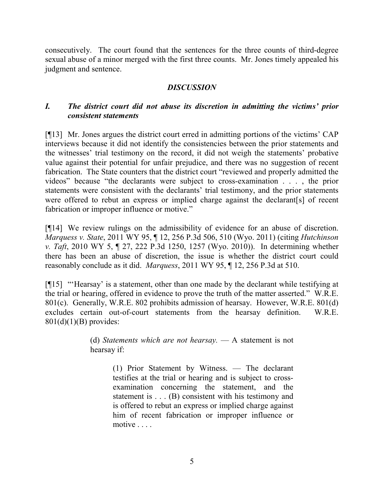consecutively. The court found that the sentences for the three counts of third-degree sexual abuse of a minor merged with the first three counts. Mr. Jones timely appealed his judgment and sentence.

## *DISCUSSION*

# *I. The district court did not abuse its discretion in admitting the victims' prior consistent statements*

[¶13] Mr. Jones argues the district court erred in admitting portions of the victims' CAP interviews because it did not identify the consistencies between the prior statements and the witnesses' trial testimony on the record, it did not weigh the statements' probative value against their potential for unfair prejudice, and there was no suggestion of recent fabrication. The State counters that the district court "reviewed and properly admitted the videos" because "the declarants were subject to cross-examination . . . , the prior statements were consistent with the declarants' trial testimony, and the prior statements were offered to rebut an express or implied charge against the declarant[s] of recent fabrication or improper influence or motive."

[¶14] We review rulings on the admissibility of evidence for an abuse of discretion. *Marquess v. State*, 2011 WY 95, ¶ 12, 256 P.3d 506, 510 (Wyo. 2011) (citing *Hutchinson v. Taft*, 2010 WY 5, ¶ 27, 222 P.3d 1250, 1257 (Wyo. 2010)). In determining whether there has been an abuse of discretion, the issue is whether the district court could reasonably conclude as it did. *Marquess*, 2011 WY 95, ¶ 12, 256 P.3d at 510.

[¶15] "'Hearsay' is a statement, other than one made by the declarant while testifying at the trial or hearing, offered in evidence to prove the truth of the matter asserted." W.R.E. 801(c). Generally, W.R.E. 802 prohibits admission of hearsay. However, W.R.E. 801(d) excludes certain out-of-court statements from the hearsay definition. W.R.E.  $801(d)(1)(B)$  provides:

> (d) *Statements which are not hearsay.* — A statement is not hearsay if:

> > (1) Prior Statement by Witness. — The declarant testifies at the trial or hearing and is subject to crossexamination concerning the statement, and the statement is . . . (B) consistent with his testimony and is offered to rebut an express or implied charge against him of recent fabrication or improper influence or motive . . . .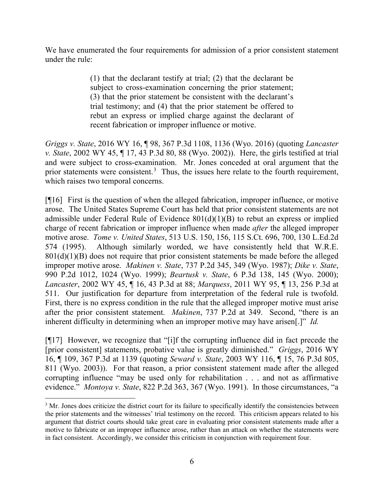We have enumerated the four requirements for admission of a prior consistent statement under the rule:

> (1) that the declarant testify at trial; (2) that the declarant be subject to cross-examination concerning the prior statement; (3) that the prior statement be consistent with the declarant's trial testimony; and (4) that the prior statement be offered to rebut an express or implied charge against the declarant of recent fabrication or improper influence or motive.

*Griggs v. State*, 2016 WY 16, ¶ 98, 367 P.3d 1108, 1136 (Wyo. 2016) (quoting *Lancaster v. State*, 2002 WY 45, ¶ 17, 43 P.3d 80, 88 (Wyo. 2002)). Here, the girls testified at trial and were subject to cross-examination. Mr. Jones conceded at oral argument that the prior statements were consistent.<sup>[3](#page-6-0)</sup> Thus, the issues here relate to the fourth requirement, which raises two temporal concerns.

[¶16] First is the question of when the alleged fabrication, improper influence, or motive arose. The United States Supreme Court has held that prior consistent statements are not admissible under Federal Rule of Evidence 801(d)(1)(B) to rebut an express or implied charge of recent fabrication or improper influence when made *after* the alleged improper motive arose. *Tome v. United States*, 513 U.S. 150, 156, 115 S.Ct. 696, 700, 130 L.Ed.2d 574 (1995). Although similarly worded, we have consistently held that W.R.E.  $801(d)(1)(B)$  does not require that prior consistent statements be made before the alleged improper motive arose. *Makinen v. State*, 737 P.2d 345, 349 (Wyo. 1987); *Dike v. State*, 990 P.2d 1012, 1024 (Wyo. 1999); *Beartusk v. State*, 6 P.3d 138, 145 (Wyo. 2000); *Lancaster*, 2002 WY 45, ¶ 16, 43 P.3d at 88; *Marquess*, 2011 WY 95, ¶ 13, 256 P.3d at 511. Our justification for departure from interpretation of the federal rule is twofold. First, there is no express condition in the rule that the alleged improper motive must arise after the prior consistent statement. *Makinen*, 737 P.2d at 349. Second, "there is an inherent difficulty in determining when an improper motive may have arisen[.]" *Id.* 

[¶17] However, we recognize that "[i]f the corrupting influence did in fact precede the [prior consistent] statements, probative value is greatly diminished." *Griggs*, 2016 WY 16, ¶ 109, 367 P.3d at 1139 (quoting *Seward v. State*, 2003 WY 116, ¶ 15, 76 P.3d 805, 811 (Wyo. 2003)). For that reason, a prior consistent statement made after the alleged corrupting influence "may be used only for rehabilitation . . . and not as affirmative evidence." *Montoya v. State*, 822 P.2d 363, 367 (Wyo. 1991). In those circumstances, "a

<span id="page-6-0"></span><sup>&</sup>lt;sup>3</sup> Mr. Jones does criticize the district court for its failure to specifically identify the consistencies between the prior statements and the witnesses' trial testimony on the record. This criticism appears related to his argument that district courts should take great care in evaluating prior consistent statements made after a motive to fabricate or an improper influence arose, rather than an attack on whether the statements were in fact consistent. Accordingly, we consider this criticism in conjunction with requirement four.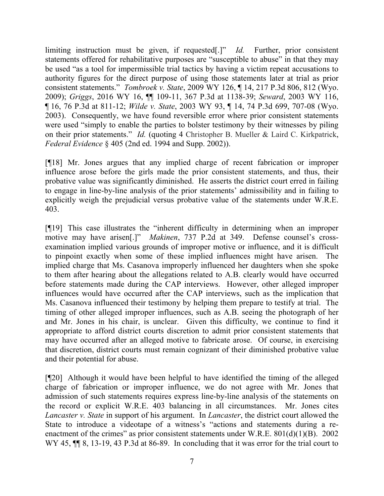limiting instruction must be given, if requested[.]" *Id.* Further, prior consistent statements offered for rehabilitative purposes are "susceptible to abuse" in that they may be used "as a tool for impermissible trial tactics by having a victim repeat accusations to authority figures for the direct purpose of using those statements later at trial as prior consistent statements." *Tombroek v. State*, 2009 WY 126, ¶ 14, 217 P.3d 806, 812 (Wyo. 2009); *Griggs*, 2016 WY 16, ¶¶ 109-11, 367 P.3d at 1138-39; *Seward*, 2003 WY 116, ¶ 16, 76 P.3d at 811-12; *Wilde v. State*, 2003 WY 93, ¶ 14, 74 P.3d 699, 707-08 (Wyo. 2003). Consequently, we have found reversible error where prior consistent statements were used "simply to enable the parties to bolster testimony by their witnesses by piling on their prior statements." *Id.* (quoting 4 Christopher B. Mueller & Laird C. Kirkpatrick, *Federal Evidence* § 405 (2nd ed. 1994 and Supp. 2002)).

[¶18] Mr. Jones argues that any implied charge of recent fabrication or improper influence arose before the girls made the prior consistent statements, and thus, their probative value was significantly diminished. He asserts the district court erred in failing to engage in line-by-line analysis of the prior statements' admissibility and in failing to explicitly weigh the prejudicial versus probative value of the statements under W.R.E. 403.

[¶19] This case illustrates the "inherent difficulty in determining when an improper motive may have arisen[.]" *Makinen*, 737 P.2d at 349. Defense counsel's crossexamination implied various grounds of improper motive or influence, and it is difficult to pinpoint exactly when some of these implied influences might have arisen. The implied charge that Ms. Casanova improperly influenced her daughters when she spoke to them after hearing about the allegations related to A.B. clearly would have occurred before statements made during the CAP interviews. However, other alleged improper influences would have occurred after the CAP interviews, such as the implication that Ms. Casanova influenced their testimony by helping them prepare to testify at trial. The timing of other alleged improper influences, such as A.B. seeing the photograph of her and Mr. Jones in his chair, is unclear. Given this difficulty, we continue to find it appropriate to afford district courts discretion to admit prior consistent statements that may have occurred after an alleged motive to fabricate arose. Of course, in exercising that discretion, district courts must remain cognizant of their diminished probative value and their potential for abuse.

[¶20] Although it would have been helpful to have identified the timing of the alleged charge of fabrication or improper influence, we do not agree with Mr. Jones that admission of such statements requires express line-by-line analysis of the statements on the record or explicit W.R.E. 403 balancing in all circumstances. Mr. Jones cites *Lancaster v. State* in support of his argument. In *Lancaster*, the district court allowed the State to introduce a videotape of a witness's "actions and statements during a reenactment of the crimes" as prior consistent statements under W.R.E.  $801(d)(1)(B)$ . 2002 WY 45,  $\mathbb{M}$  8, 13-19, 43 P.3d at 86-89. In concluding that it was error for the trial court to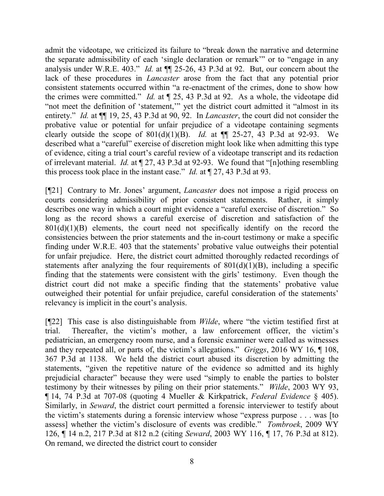admit the videotape, we criticized its failure to "break down the narrative and determine the separate admissibility of each 'single declaration or remark'" or to "engage in any analysis under W.R.E. 403." *Id.* at ¶¶ 25-26, 43 P.3d at 92. But, our concern about the lack of these procedures in *Lancaster* arose from the fact that any potential prior consistent statements occurred within "a re-enactment of the crimes, done to show how the crimes were committed." *Id.* at ¶ 25, 43 P.3d at 92. As a whole, the videotape did "not meet the definition of 'statement,'" yet the district court admitted it "almost in its entirety." *Id.* at  $\P$  19, 25, 43 P.3d at 90, 92. In *Lancaster*, the court did not consider the probative value or potential for unfair prejudice of a videotape containing segments clearly outside the scope of  $801(d)(1)(B)$ . *Id.* at  $\P$  25-27, 43 P.3d at 92-93. We described what a "careful" exercise of discretion might look like when admitting this type of evidence, citing a trial court's careful review of a videotape transcript and its redaction of irrelevant material. *Id.* at ¶ 27, 43 P.3d at 92-93. We found that "[n]othing resembling this process took place in the instant case." *Id.* at ¶ 27, 43 P.3d at 93.

[¶21] Contrary to Mr. Jones' argument, *Lancaster* does not impose a rigid process on courts considering admissibility of prior consistent statements. Rather, it simply describes one way in which a court might evidence a "careful exercise of discretion." So long as the record shows a careful exercise of discretion and satisfaction of the  $801(d)(1)(B)$  elements, the court need not specifically identify on the record the consistencies between the prior statements and the in-court testimony or make a specific finding under W.R.E. 403 that the statements' probative value outweighs their potential for unfair prejudice. Here, the district court admitted thoroughly redacted recordings of statements after analyzing the four requirements of  $801(d)(1)(B)$ , including a specific finding that the statements were consistent with the girls' testimony. Even though the district court did not make a specific finding that the statements' probative value outweighed their potential for unfair prejudice, careful consideration of the statements' relevancy is implicit in the court's analysis.

[¶22] This case is also distinguishable from *Wilde*, where "the victim testified first at trial. Thereafter, the victim's mother, a law enforcement officer, the victim's pediatrician, an emergency room nurse, and a forensic examiner were called as witnesses and they repeated all, or parts of, the victim's allegations." *Griggs*, 2016 WY 16, ¶ 108, 367 P.3d at 1138. We held the district court abused its discretion by admitting the statements, "given the repetitive nature of the evidence so admitted and its highly prejudicial character" because they were used "simply to enable the parties to bolster testimony by their witnesses by piling on their prior statements." *Wilde*, 2003 WY 93, ¶ 14, 74 P.3d at 707-08 (quoting 4 Mueller & Kirkpatrick, *Federal Evidence* § 405). Similarly, in *Seward*, the district court permitted a forensic interviewer to testify about the victim's statements during a forensic interview whose "express purpose . . . was [to assess] whether the victim's disclosure of events was credible." *Tombroek*, 2009 WY 126, ¶ 14 n.2, 217 P.3d at 812 n.2 (citing *Seward*, 2003 WY 116, ¶ 17, 76 P.3d at 812). On remand, we directed the district court to consider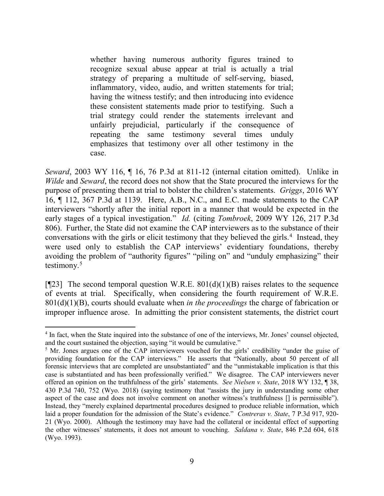whether having numerous authority figures trained to recognize sexual abuse appear at trial is actually a trial strategy of preparing a multitude of self-serving, biased, inflammatory, video, audio, and written statements for trial; having the witness testify; and then introducing into evidence these consistent statements made prior to testifying. Such a trial strategy could render the statements irrelevant and unfairly prejudicial, particularly if the consequence of repeating the same testimony several times unduly emphasizes that testimony over all other testimony in the case.

*Seward*, 2003 WY 116, ¶ 16, 76 P.3d at 811-12 (internal citation omitted). Unlike in *Wilde* and *Seward*, the record does not show that the State procured the interviews for the purpose of presenting them at trial to bolster the children's statements. *Griggs*, 2016 WY 16, ¶ 112, 367 P.3d at 1139. Here, A.B., N.C., and E.C. made statements to the CAP interviewers "shortly after the initial report in a manner that would be expected in the early stages of a typical investigation." *Id.* (citing *Tombroek*, 2009 WY 126, 217 P.3d 806). Further, the State did not examine the CAP interviewers as to the substance of their conversations with the girls or elicit testimony that they believed the girls.<sup>[4](#page-9-0)</sup> Instead, they were used only to establish the CAP interviews' evidentiary foundations, thereby avoiding the problem of "authority figures" "piling on" and "unduly emphasizing" their testimony. $5$ 

[ $[23]$ ] The second temporal question W.R.E.  $801(d)(1)(B)$  raises relates to the sequence of events at trial. Specifically, when considering the fourth requirement of W.R.E. 801(d)(1)(B), courts should evaluate when *in the proceedings* the charge of fabrication or improper influence arose. In admitting the prior consistent statements, the district court

<span id="page-9-0"></span><sup>&</sup>lt;sup>4</sup> In fact, when the State inquired into the substance of one of the interviews, Mr. Jones' counsel objected, and the court sustained the objection, saying "it would be cumulative."

<span id="page-9-1"></span><sup>&</sup>lt;sup>5</sup> Mr. Jones argues one of the CAP interviewers vouched for the girls' credibility "under the guise of providing foundation for the CAP interviews." He asserts that "Nationally, about 50 percent of all forensic interviews that are completed are unsubstantiated" and the "unmistakable implication is that this case is substantiated and has been professionally verified." We disagree. The CAP interviewers never offered an opinion on the truthfulness of the girls' statements. *See Nielsen v. State*, 2018 WY 132, ¶ 38, 430 P.3d 740, 752 (Wyo. 2018) (saying testimony that "assists the jury in understanding some other aspect of the case and does not involve comment on another witness's truthfulness [] is permissible"). Instead, they "merely explained departmental procedures designed to produce reliable information, which laid a proper foundation for the admission of the State's evidence." *Contreras v. State*, 7 P.3d 917, 920- 21 (Wyo. 2000). Although the testimony may have had the collateral or incidental effect of supporting the other witnesses' statements, it does not amount to vouching. *Saldana v. State*, 846 P.2d 604, 618 (Wyo. 1993).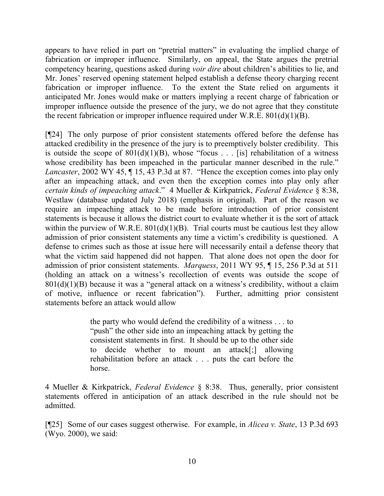appears to have relied in part on "pretrial matters" in evaluating the implied charge of fabrication or improper influence. Similarly, on appeal, the State argues the pretrial competency hearing, questions asked during *voir dire* about children's abilities to lie, and Mr. Jones' reserved opening statement helped establish a defense theory charging recent fabrication or improper influence. To the extent the State relied on arguments it anticipated Mr. Jones would make or matters implying a recent charge of fabrication or improper influence outside the presence of the jury, we do not agree that they constitute the recent fabrication or improper influence required under W.R.E.  $801(d)(1)(B)$ .

[¶24] The only purpose of prior consistent statements offered before the defense has attacked credibility in the presence of the jury is to preemptively bolster credibility. This is outside the scope of  $801(d)(1)(B)$ , whose "focus . . . [is] rehabilitation of a witness whose credibility has been impeached in the particular manner described in the rule." *Lancaster*, 2002 WY 45,  $\P$  15, 43 P.3d at 87. "Hence the exception comes into play only after an impeaching attack, and even then the exception comes into play only after *certain kinds of impeaching attack*." 4 Mueller & Kirkpatrick, *Federal Evidence* § 8:38, Westlaw (database updated July 2018) (emphasis in original). Part of the reason we require an impeaching attack to be made before introduction of prior consistent statements is because it allows the district court to evaluate whether it is the sort of attack within the purview of W.R.E.  $801(d)(1)(B)$ . Trial courts must be cautious lest they allow admission of prior consistent statements any time a victim's credibility is questioned. A defense to crimes such as those at issue here will necessarily entail a defense theory that what the victim said happened did not happen. That alone does not open the door for admission of prior consistent statements. *Marquess*, 2011 WY 95, ¶ 15, 256 P.3d at 511 (holding an attack on a witness's recollection of events was outside the scope of  $801(d)(1)(B)$  because it was a "general attack on a witness's credibility, without a claim of motive, influence or recent fabrication"). Further, admitting prior consistent statements before an attack would allow

> the party who would defend the credibility of a witness . . . to "push" the other side into an impeaching attack by getting the consistent statements in first. It should be up to the other side to decide whether to mount an attack[;] allowing rehabilitation before an attack . . . puts the cart before the horse.

4 Mueller & Kirkpatrick, *Federal Evidence* § 8:38. Thus, generally, prior consistent statements offered in anticipation of an attack described in the rule should not be admitted.

[¶25] Some of our cases suggest otherwise. For example, in *Alicea v. State*, 13 P.3d 693 (Wyo. 2000), we said: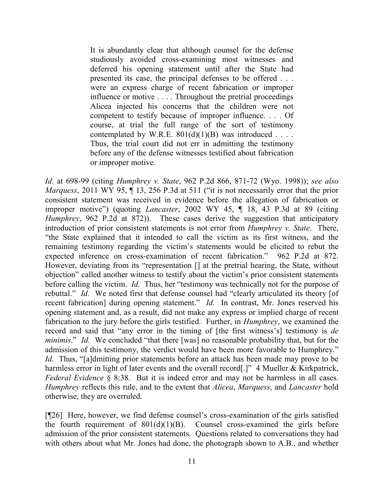It is abundantly clear that although counsel for the defense studiously avoided cross-examining most witnesses and deferred his opening statement until after the State had presented its case, the principal defenses to be offered . . . were an express charge of recent fabrication or improper influence or motive . . . . Throughout the pretrial proceedings Alicea injected his concerns that the children were not competent to testify because of improper influence. . . . Of course, at trial the full range of the sort of testimony contemplated by W.R.E.  $801(d)(1)(B)$  was introduced . . . . Thus, the trial court did not err in admitting the testimony before any of the defense witnesses testified about fabrication or improper motive.

*Id.* at 698-99 (citing *Humphrey v. State*, 962 P.2d 866, 871-72 (Wyo. 1998)); *see also Marquess*, 2011 WY 95, ¶ 13, 256 P.3d at 511 ("it is not necessarily error that the prior consistent statement was received in evidence before the allegation of fabrication or improper motive") (quoting *Lancaster*, 2002 WY 45, ¶ 18, 43 P.3d at 89 (citing *Humphrey*, 962 P.2d at 872)). These cases derive the suggestion that anticipatory introduction of prior consistent statements is not error from *Humphrey v. State*. There, "the State explained that it intended to call the victim as its first witness, and the remaining testimony regarding the victim's statements would be elicited to rebut the expected inference on cross-examination of recent fabrication." 962 P.2d at 872. However, deviating from its "representation [] at the pretrial hearing, the State, without objection" called another witness to testify about the victim's prior consistent statements before calling the victim. *Id.* Thus, her "testimony was technically not for the purpose of rebuttal." *Id.* We noted first that defense counsel had "clearly articulated its theory [of recent fabrication] during opening statement." *Id.* In contrast, Mr. Jones reserved his opening statement and, as a result, did not make any express or implied charge of recent fabrication to the jury before the girls testified. Further, in *Humphrey*, we examined the record and said that "any error in the timing of [the first witness's] testimony is *de minimis.*" *Id.* We concluded "that there [was] no reasonable probability that, but for the admission of this testimony, the verdict would have been more favorable to Humphrey." *Id.* Thus, "[a]dmitting prior statements before an attack has been made may prove to be harmless error in light of later events and the overall record<sup>[.]"</sup> 4 Mueller & Kirkpatrick, *Federal Evidence* § 8:38. But it is indeed error and may not be harmless in all cases. *Humphrey* reflects this rule, and to the extent that *Alicea*, *Marquess*, and *Lancaster* hold otherwise, they are overruled.

[¶26] Here, however, we find defense counsel's cross-examination of the girls satisfied the fourth requirement of  $801(d)(1)(B)$ . Counsel cross-examined the girls before admission of the prior consistent statements. Questions related to conversations they had with others about what Mr. Jones had done, the photograph shown to A.B., and whether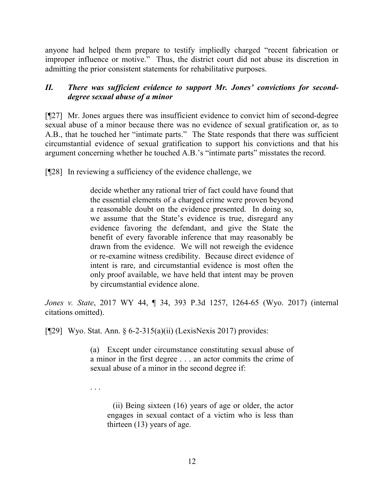anyone had helped them prepare to testify impliedly charged "recent fabrication or improper influence or motive." Thus, the district court did not abuse its discretion in admitting the prior consistent statements for rehabilitative purposes.

# *II. There was sufficient evidence to support Mr. Jones' convictions for seconddegree sexual abuse of a minor*

[¶27] Mr. Jones argues there was insufficient evidence to convict him of second-degree sexual abuse of a minor because there was no evidence of sexual gratification or, as to A.B., that he touched her "intimate parts." The State responds that there was sufficient circumstantial evidence of sexual gratification to support his convictions and that his argument concerning whether he touched A.B.'s "intimate parts" misstates the record.

[¶28] In reviewing a sufficiency of the evidence challenge, we

decide whether any rational trier of fact could have found that the essential elements of a charged crime were proven beyond a reasonable doubt on the evidence presented. In doing so, we assume that the State's evidence is true, disregard any evidence favoring the defendant, and give the State the benefit of every favorable inference that may reasonably be drawn from the evidence. We will not reweigh the evidence or re-examine witness credibility. Because direct evidence of intent is rare, and circumstantial evidence is most often the only proof available, we have held that intent may be proven by circumstantial evidence alone.

*Jones v. State*, 2017 WY 44, ¶ 34, 393 P.3d 1257, 1264-65 (Wyo. 2017) (internal citations omitted).

[¶29] Wyo. Stat. Ann. § 6-2-315(a)(ii) (LexisNexis 2017) provides:

(a) Except under circumstance constituting sexual abuse of a minor in the first degree . . . an actor commits the crime of sexual abuse of a minor in the second degree if:

. . .

(ii) Being sixteen (16) years of age or older, the actor engages in sexual contact of a victim who is less than thirteen (13) years of age.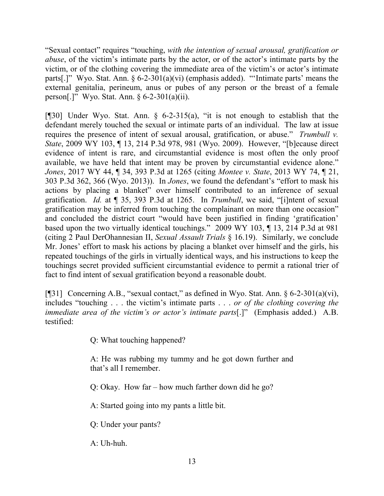"Sexual contact" requires "touching, *with the intention of sexual arousal, gratification or abuse*, of the victim's intimate parts by the actor, or of the actor's intimate parts by the victim, or of the clothing covering the immediate area of the victim's or actor's intimate parts[.]" Wyo. Stat. Ann. § 6-2-301(a)(vi) (emphasis added). "'Intimate parts' means the external genitalia, perineum, anus or pubes of any person or the breast of a female person[.]" Wyo. Stat. Ann. § 6-2-301(a)(ii).

[¶30] Under Wyo. Stat. Ann. § 6-2-315(a), "it is not enough to establish that the defendant merely touched the sexual or intimate parts of an individual. The law at issue requires the presence of intent of sexual arousal, gratification, or abuse." *Trumbull v. State*, 2009 WY 103, ¶ 13, 214 P.3d 978, 981 (Wyo. 2009). However, "[b]ecause direct evidence of intent is rare, and circumstantial evidence is most often the only proof available, we have held that intent may be proven by circumstantial evidence alone." *Jones*, 2017 WY 44, ¶ 34, 393 P.3d at 1265 (citing *Montee v. State*, 2013 WY 74, ¶ 21, 303 P.3d 362, 366 (Wyo. 2013)). In *Jones*, we found the defendant's "effort to mask his actions by placing a blanket" over himself contributed to an inference of sexual gratification. *Id.* at ¶ 35, 393 P.3d at 1265. In *Trumbull*, we said, "[i]ntent of sexual gratification may be inferred from touching the complainant on more than one occasion" and concluded the district court "would have been justified in finding 'gratification' based upon the two virtually identical touchings." 2009 WY 103, ¶ 13, 214 P.3d at 981 (citing 2 Paul DerOhannesian II, *Sexual Assault Trials* § 16.19). Similarly, we conclude Mr. Jones' effort to mask his actions by placing a blanket over himself and the girls, his repeated touchings of the girls in virtually identical ways, and his instructions to keep the touchings secret provided sufficient circumstantial evidence to permit a rational trier of fact to find intent of sexual gratification beyond a reasonable doubt.

[¶31] Concerning A.B., "sexual contact," as defined in Wyo. Stat. Ann. § 6-2-301(a)(vi), includes "touching . . . the victim's intimate parts . . . *or of the clothing covering the immediate area of the victim's or actor's intimate parts*[.]" (Emphasis added.) A.B. testified:

Q: What touching happened?

A: He was rubbing my tummy and he got down further and that's all I remember.

Q: Okay. How far – how much farther down did he go?

A: Started going into my pants a little bit.

Q: Under your pants?

A: Uh-huh.